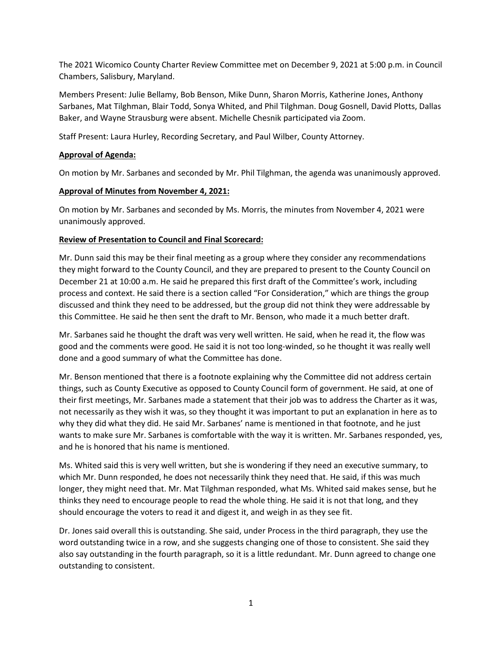The 2021 Wicomico County Charter Review Committee met on December 9, 2021 at 5:00 p.m. in Council Chambers, Salisbury, Maryland.

Members Present: Julie Bellamy, Bob Benson, Mike Dunn, Sharon Morris, Katherine Jones, Anthony Sarbanes, Mat Tilghman, Blair Todd, Sonya Whited, and Phil Tilghman. Doug Gosnell, David Plotts, Dallas Baker, and Wayne Strausburg were absent. Michelle Chesnik participated via Zoom.

Staff Present: Laura Hurley, Recording Secretary, and Paul Wilber, County Attorney.

## **Approval of Agenda:**

On motion by Mr. Sarbanes and seconded by Mr. Phil Tilghman, the agenda was unanimously approved.

#### **Approval of Minutes from November 4, 2021:**

On motion by Mr. Sarbanes and seconded by Ms. Morris, the minutes from November 4, 2021 were unanimously approved.

## **Review of Presentation to Council and Final Scorecard:**

Mr. Dunn said this may be their final meeting as a group where they consider any recommendations they might forward to the County Council, and they are prepared to present to the County Council on December 21 at 10:00 a.m. He said he prepared this first draft of the Committee's work, including process and context. He said there is a section called "For Consideration," which are things the group discussed and think they need to be addressed, but the group did not think they were addressable by this Committee. He said he then sent the draft to Mr. Benson, who made it a much better draft.

Mr. Sarbanes said he thought the draft was very well written. He said, when he read it, the flow was good and the comments were good. He said it is not too long-winded, so he thought it was really well done and a good summary of what the Committee has done.

Mr. Benson mentioned that there is a footnote explaining why the Committee did not address certain things, such as County Executive as opposed to County Council form of government. He said, at one of their first meetings, Mr. Sarbanes made a statement that their job was to address the Charter as it was, not necessarily as they wish it was, so they thought it was important to put an explanation in here as to why they did what they did. He said Mr. Sarbanes' name is mentioned in that footnote, and he just wants to make sure Mr. Sarbanes is comfortable with the way it is written. Mr. Sarbanes responded, yes, and he is honored that his name is mentioned.

Ms. Whited said this is very well written, but she is wondering if they need an executive summary, to which Mr. Dunn responded, he does not necessarily think they need that. He said, if this was much longer, they might need that. Mr. Mat Tilghman responded, what Ms. Whited said makes sense, but he thinks they need to encourage people to read the whole thing. He said it is not that long, and they should encourage the voters to read it and digest it, and weigh in as they see fit.

Dr. Jones said overall this is outstanding. She said, under Process in the third paragraph, they use the word outstanding twice in a row, and she suggests changing one of those to consistent. She said they also say outstanding in the fourth paragraph, so it is a little redundant. Mr. Dunn agreed to change one outstanding to consistent.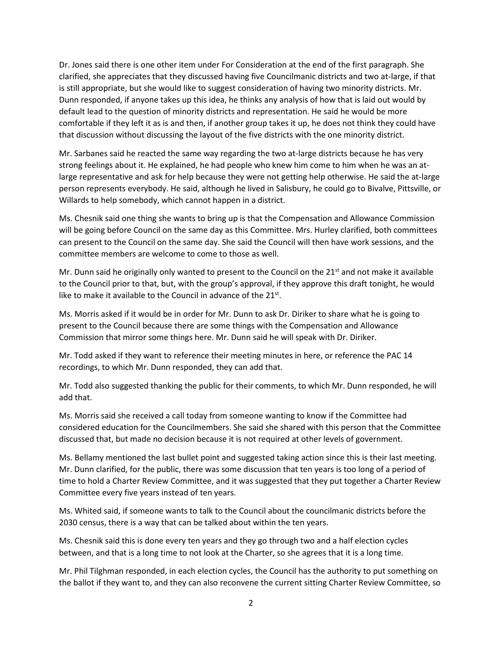Dr. Jones said there is one other item under For Consideration at the end of the first paragraph. She clarified, she appreciates that they discussed having five Councilmanic districts and two at-large, if that is still appropriate, but she would like to suggest consideration of having two minority districts. Mr. Dunn responded, if anyone takes up this idea, he thinks any analysis of how that is laid out would by default lead to the question of minority districts and representation. He said he would be more comfortable if they left it as is and then, if another group takes it up, he does not think they could have that discussion without discussing the layout of the five districts with the one minority district.

Mr. Sarbanes said he reacted the same way regarding the two at-large districts because he has very strong feelings about it. He explained, he had people who knew him come to him when he was an atlarge representative and ask for help because they were not getting help otherwise. He said the at-large person represents everybody. He said, although he lived in Salisbury, he could go to Bivalve, Pittsville, or Willards to help somebody, which cannot happen in a district.

Ms. Chesnik said one thing she wants to bring up is that the Compensation and Allowance Commission will be going before Council on the same day as this Committee. Mrs. Hurley clarified, both committees can present to the Council on the same day. She said the Council will then have work sessions, and the committee members are welcome to come to those as well.

Mr. Dunn said he originally only wanted to present to the Council on the  $21<sup>st</sup>$  and not make it available to the Council prior to that, but, with the group's approval, if they approve this draft tonight, he would like to make it available to the Council in advance of the  $21^{st}$ .

Ms. Morris asked if it would be in order for Mr. Dunn to ask Dr. Diriker to share what he is going to present to the Council because there are some things with the Compensation and Allowance Commission that mirror some things here. Mr. Dunn said he will speak with Dr. Diriker.

Mr. Todd asked if they want to reference their meeting minutes in here, or reference the PAC 14 recordings, to which Mr. Dunn responded, they can add that.

Mr. Todd also suggested thanking the public for their comments, to which Mr. Dunn responded, he will add that.

Ms. Morris said she received a call today from someone wanting to know if the Committee had considered education for the Councilmembers. She said she shared with this person that the Committee discussed that, but made no decision because it is not required at other levels of government.

Ms. Bellamy mentioned the last bullet point and suggested taking action since this is their last meeting. Mr. Dunn clarified, for the public, there was some discussion that ten years is too long of a period of time to hold a Charter Review Committee, and it was suggested that they put together a Charter Review Committee every five years instead of ten years.

Ms. Whited said, if someone wants to talk to the Council about the councilmanic districts before the 2030 census, there is a way that can be talked about within the ten years.

Ms. Chesnik said this is done every ten years and they go through two and a half election cycles between, and that is a long time to not look at the Charter, so she agrees that it is a long time.

Mr. Phil Tilghman responded, in each election cycles, the Council has the authority to put something on the ballot if they want to, and they can also reconvene the current sitting Charter Review Committee, so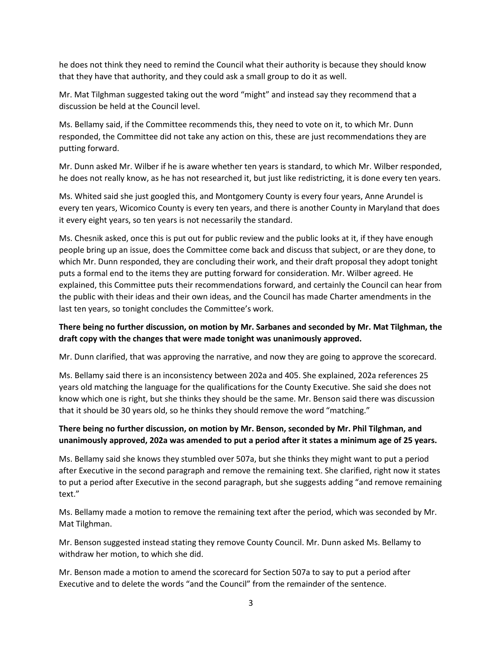he does not think they need to remind the Council what their authority is because they should know that they have that authority, and they could ask a small group to do it as well.

Mr. Mat Tilghman suggested taking out the word "might" and instead say they recommend that a discussion be held at the Council level.

Ms. Bellamy said, if the Committee recommends this, they need to vote on it, to which Mr. Dunn responded, the Committee did not take any action on this, these are just recommendations they are putting forward.

Mr. Dunn asked Mr. Wilber if he is aware whether ten years is standard, to which Mr. Wilber responded, he does not really know, as he has not researched it, but just like redistricting, it is done every ten years.

Ms. Whited said she just googled this, and Montgomery County is every four years, Anne Arundel is every ten years, Wicomico County is every ten years, and there is another County in Maryland that does it every eight years, so ten years is not necessarily the standard.

Ms. Chesnik asked, once this is put out for public review and the public looks at it, if they have enough people bring up an issue, does the Committee come back and discuss that subject, or are they done, to which Mr. Dunn responded, they are concluding their work, and their draft proposal they adopt tonight puts a formal end to the items they are putting forward for consideration. Mr. Wilber agreed. He explained, this Committee puts their recommendations forward, and certainly the Council can hear from the public with their ideas and their own ideas, and the Council has made Charter amendments in the last ten years, so tonight concludes the Committee's work.

## **There being no further discussion, on motion by Mr. Sarbanes and seconded by Mr. Mat Tilghman, the draft copy with the changes that were made tonight was unanimously approved.**

Mr. Dunn clarified, that was approving the narrative, and now they are going to approve the scorecard.

Ms. Bellamy said there is an inconsistency between 202a and 405. She explained, 202a references 25 years old matching the language for the qualifications for the County Executive. She said she does not know which one is right, but she thinks they should be the same. Mr. Benson said there was discussion that it should be 30 years old, so he thinks they should remove the word "matching."

# **There being no further discussion, on motion by Mr. Benson, seconded by Mr. Phil Tilghman, and unanimously approved, 202a was amended to put a period after it states a minimum age of 25 years.**

Ms. Bellamy said she knows they stumbled over 507a, but she thinks they might want to put a period after Executive in the second paragraph and remove the remaining text. She clarified, right now it states to put a period after Executive in the second paragraph, but she suggests adding "and remove remaining text."

Ms. Bellamy made a motion to remove the remaining text after the period, which was seconded by Mr. Mat Tilghman.

Mr. Benson suggested instead stating they remove County Council. Mr. Dunn asked Ms. Bellamy to withdraw her motion, to which she did.

Mr. Benson made a motion to amend the scorecard for Section 507a to say to put a period after Executive and to delete the words "and the Council" from the remainder of the sentence.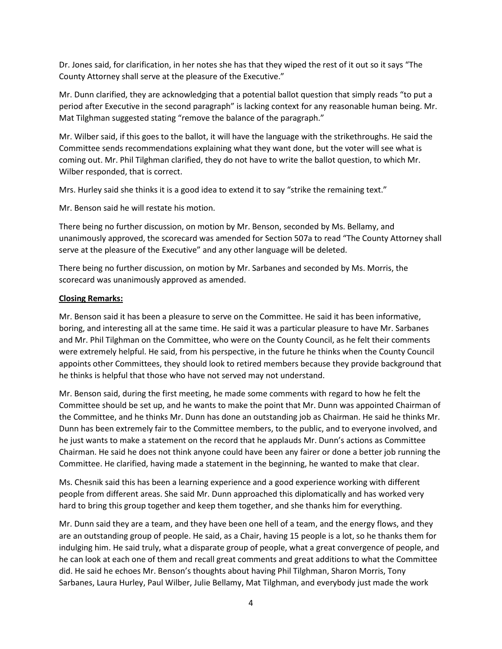Dr. Jones said, for clarification, in her notes she has that they wiped the rest of it out so it says "The County Attorney shall serve at the pleasure of the Executive."

Mr. Dunn clarified, they are acknowledging that a potential ballot question that simply reads "to put a period after Executive in the second paragraph" is lacking context for any reasonable human being. Mr. Mat Tilghman suggested stating "remove the balance of the paragraph."

Mr. Wilber said, if this goes to the ballot, it will have the language with the strikethroughs. He said the Committee sends recommendations explaining what they want done, but the voter will see what is coming out. Mr. Phil Tilghman clarified, they do not have to write the ballot question, to which Mr. Wilber responded, that is correct.

Mrs. Hurley said she thinks it is a good idea to extend it to say "strike the remaining text."

Mr. Benson said he will restate his motion.

There being no further discussion, on motion by Mr. Benson, seconded by Ms. Bellamy, and unanimously approved, the scorecard was amended for Section 507a to read "The County Attorney shall serve at the pleasure of the Executive" and any other language will be deleted.

There being no further discussion, on motion by Mr. Sarbanes and seconded by Ms. Morris, the scorecard was unanimously approved as amended.

#### **Closing Remarks:**

Mr. Benson said it has been a pleasure to serve on the Committee. He said it has been informative, boring, and interesting all at the same time. He said it was a particular pleasure to have Mr. Sarbanes and Mr. Phil Tilghman on the Committee, who were on the County Council, as he felt their comments were extremely helpful. He said, from his perspective, in the future he thinks when the County Council appoints other Committees, they should look to retired members because they provide background that he thinks is helpful that those who have not served may not understand.

Mr. Benson said, during the first meeting, he made some comments with regard to how he felt the Committee should be set up, and he wants to make the point that Mr. Dunn was appointed Chairman of the Committee, and he thinks Mr. Dunn has done an outstanding job as Chairman. He said he thinks Mr. Dunn has been extremely fair to the Committee members, to the public, and to everyone involved, and he just wants to make a statement on the record that he applauds Mr. Dunn's actions as Committee Chairman. He said he does not think anyone could have been any fairer or done a better job running the Committee. He clarified, having made a statement in the beginning, he wanted to make that clear.

Ms. Chesnik said this has been a learning experience and a good experience working with different people from different areas. She said Mr. Dunn approached this diplomatically and has worked very hard to bring this group together and keep them together, and she thanks him for everything.

Mr. Dunn said they are a team, and they have been one hell of a team, and the energy flows, and they are an outstanding group of people. He said, as a Chair, having 15 people is a lot, so he thanks them for indulging him. He said truly, what a disparate group of people, what a great convergence of people, and he can look at each one of them and recall great comments and great additions to what the Committee did. He said he echoes Mr. Benson's thoughts about having Phil Tilghman, Sharon Morris, Tony Sarbanes, Laura Hurley, Paul Wilber, Julie Bellamy, Mat Tilghman, and everybody just made the work